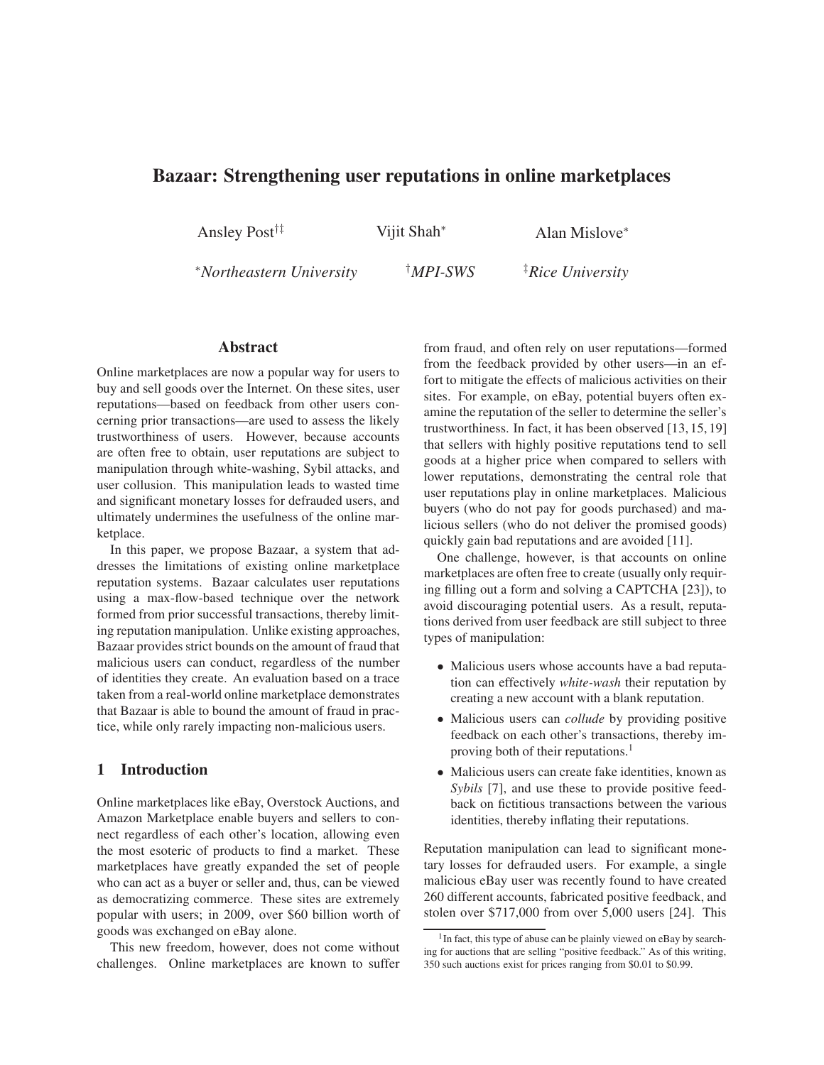# **Bazaar: Strengthening user reputations in online marketplaces**

Ansley Post†‡ Vijit Shah<sup>∗</sup> Alan Mislove<sup>∗</sup>

<sup>∗</sup>*Northeastern University* †*MPI-SWS* ‡*Rice University*

## **Abstract**

Online marketplaces are now a popular way for users to buy and sell goods over the Internet. On these sites, user reputations—based on feedback from other users concerning prior transactions—are used to assess the likely trustworthiness of users. However, because accounts are often free to obtain, user reputations are subject to manipulation through white-washing, Sybil attacks, and user collusion. This manipulation leads to wasted time and significant monetary losses for defrauded users, and ultimately undermines the usefulness of the online marketplace.

In this paper, we propose Bazaar, a system that addresses the limitations of existing online marketplace reputation systems. Bazaar calculates user reputations using a max-flow-based technique over the network formed from prior successful transactions, thereby limiting reputation manipulation. Unlike existing approaches, Bazaar provides strict bounds on the amount of fraud that malicious users can conduct, regardless of the number of identities they create. An evaluation based on a trace taken from a real-world online marketplace demonstrates that Bazaar is able to bound the amount of fraud in practice, while only rarely impacting non-malicious users.

## **1 Introduction**

Online marketplaces like eBay, Overstock Auctions, and Amazon Marketplace enable buyers and sellers to connect regardless of each other's location, allowing even the most esoteric of products to find a market. These marketplaces have greatly expanded the set of people who can act as a buyer or seller and, thus, can be viewed as democratizing commerce. These sites are extremely popular with users; in 2009, over \$60 billion worth of goods was exchanged on eBay alone.

This new freedom, however, does not come without challenges. Online marketplaces are known to suffer from fraud, and often rely on user reputations—formed from the feedback provided by other users—in an effort to mitigate the effects of malicious activities on their sites. For example, on eBay, potential buyers often examine the reputation of the seller to determine the seller's trustworthiness. In fact, it has been observed [13, 15, 19] that sellers with highly positive reputations tend to sell goods at a higher price when compared to sellers with lower reputations, demonstrating the central role that user reputations play in online marketplaces. Malicious buyers (who do not pay for goods purchased) and malicious sellers (who do not deliver the promised goods) quickly gain bad reputations and are avoided [11].

One challenge, however, is that accounts on online marketplaces are often free to create (usually only requiring filling out a form and solving a CAPTCHA [23]), to avoid discouraging potential users. As a result, reputations derived from user feedback are still subject to three types of manipulation:

- Malicious users whose accounts have a bad reputation can effectively *white-wash* their reputation by creating a new account with a blank reputation.
- Malicious users can *collude* by providing positive feedback on each other's transactions, thereby improving both of their reputations.<sup>1</sup>
- Malicious users can create fake identities, known as *Sybils* [7], and use these to provide positive feedback on fictitious transactions between the various identities, thereby inflating their reputations.

Reputation manipulation can lead to significant monetary losses for defrauded users. For example, a single malicious eBay user was recently found to have created 260 different accounts, fabricated positive feedback, and stolen over \$717,000 from over 5,000 users [24]. This

<sup>&</sup>lt;sup>1</sup> In fact, this type of abuse can be plainly viewed on eBay by searching for auctions that are selling "positive feedback." As of this writing, 350 such auctions exist for prices ranging from \$0.01 to \$0.99.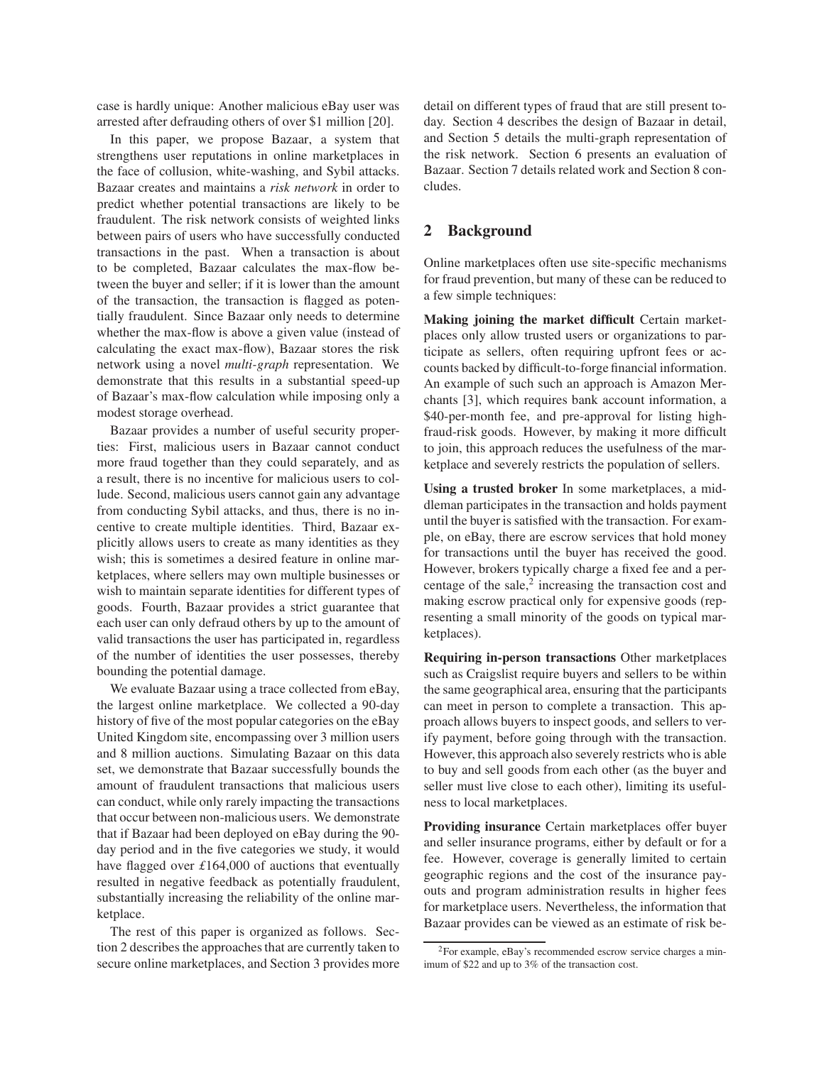case is hardly unique: Another malicious eBay user was arrested after defrauding others of over \$1 million [20].

In this paper, we propose Bazaar, a system that strengthens user reputations in online marketplaces in the face of collusion, white-washing, and Sybil attacks. Bazaar creates and maintains a *risk network* in order to predict whether potential transactions are likely to be fraudulent. The risk network consists of weighted links between pairs of users who have successfully conducted transactions in the past. When a transaction is about to be completed, Bazaar calculates the max-flow between the buyer and seller; if it is lower than the amount of the transaction, the transaction is flagged as potentially fraudulent. Since Bazaar only needs to determine whether the max-flow is above a given value (instead of calculating the exact max-flow), Bazaar stores the risk network using a novel *multi-graph* representation. We demonstrate that this results in a substantial speed-up of Bazaar's max-flow calculation while imposing only a modest storage overhead.

Bazaar provides a number of useful security properties: First, malicious users in Bazaar cannot conduct more fraud together than they could separately, and as a result, there is no incentive for malicious users to collude. Second, malicious users cannot gain any advantage from conducting Sybil attacks, and thus, there is no incentive to create multiple identities. Third, Bazaar explicitly allows users to create as many identities as they wish; this is sometimes a desired feature in online marketplaces, where sellers may own multiple businesses or wish to maintain separate identities for different types of goods. Fourth, Bazaar provides a strict guarantee that each user can only defraud others by up to the amount of valid transactions the user has participated in, regardless of the number of identities the user possesses, thereby bounding the potential damage.

We evaluate Bazaar using a trace collected from eBay, the largest online marketplace. We collected a 90-day history of five of the most popular categories on the eBay United Kingdom site, encompassing over 3 million users and 8 million auctions. Simulating Bazaar on this data set, we demonstrate that Bazaar successfully bounds the amount of fraudulent transactions that malicious users can conduct, while only rarely impacting the transactions that occur between non-malicious users. We demonstrate that if Bazaar had been deployed on eBay during the 90 day period and in the five categories we study, it would have flagged over *£*164,000 of auctions that eventually resulted in negative feedback as potentially fraudulent, substantially increasing the reliability of the online marketplace.

The rest of this paper is organized as follows. Section 2 describes the approaches that are currently taken to secure online marketplaces, and Section 3 provides more detail on different types of fraud that are still present today. Section 4 describes the design of Bazaar in detail, and Section 5 details the multi-graph representation of the risk network. Section 6 presents an evaluation of Bazaar. Section 7 details related work and Section 8 concludes.

## **2 Background**

Online marketplaces often use site-specific mechanisms for fraud prevention, but many of these can be reduced to a few simple techniques:

**Making joining the market difficult** Certain marketplaces only allow trusted users or organizations to participate as sellers, often requiring upfront fees or accounts backed by difficult-to-forge financial information. An example of such such an approach is Amazon Merchants [3], which requires bank account information, a \$40-per-month fee, and pre-approval for listing highfraud-risk goods. However, by making it more difficult to join, this approach reduces the usefulness of the marketplace and severely restricts the population of sellers.

**Using a trusted broker** In some marketplaces, a middleman participates in the transaction and holds payment until the buyer is satisfied with the transaction. For example, on eBay, there are escrow services that hold money for transactions until the buyer has received the good. However, brokers typically charge a fixed fee and a percentage of the sale, $2$  increasing the transaction cost and making escrow practical only for expensive goods (representing a small minority of the goods on typical marketplaces).

**Requiring in-person transactions** Other marketplaces such as Craigslist require buyers and sellers to be within the same geographical area, ensuring that the participants can meet in person to complete a transaction. This approach allows buyers to inspect goods, and sellers to verify payment, before going through with the transaction. However, this approach also severely restricts who is able to buy and sell goods from each other (as the buyer and seller must live close to each other), limiting its usefulness to local marketplaces.

**Providing insurance** Certain marketplaces offer buyer and seller insurance programs, either by default or for a fee. However, coverage is generally limited to certain geographic regions and the cost of the insurance payouts and program administration results in higher fees for marketplace users. Nevertheless, the information that Bazaar provides can be viewed as an estimate of risk be-

<sup>2</sup>For example, eBay's recommended escrow service charges a minimum of \$22 and up to 3% of the transaction cost.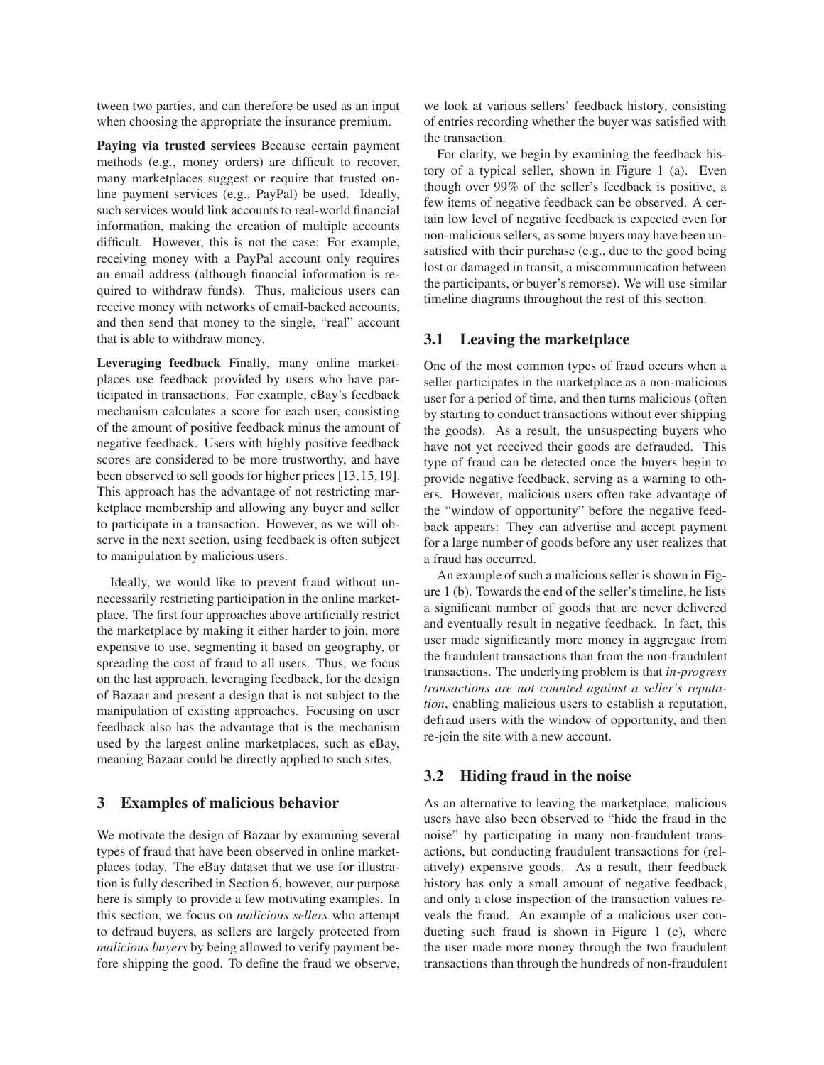tween two parties, and can therefore be used as an input when choosing the appropriate the insurance premium.

**Paying via trusted services** Because certain payment methods (e.g., money orders) are difficult to recover, many marketplaces suggest or require that trusted online payment services (e.g., PayPal) be used. Ideally, such services would link accounts to real-world financial information, making the creation of multiple accounts difficult. However, this is not the case: For example, receiving money with a PayPal account only requires an email address (although financial information is required to withdraw funds). Thus, malicious users can receive money with networks of email-backed accounts, and then send that money to the single, "real" account that is able to withdraw money.

**Leveraging feedback** Finally, many online marketplaces use feedback provided by users who have participated in transactions. For example, eBay's feedback mechanism calculates a score for each user, consisting of the amount of positive feedback minus the amount of negative feedback. Users with highly positive feedback scores are considered to be more trustworthy, and have been observed to sell goods for higher prices [13,15,19]. This approach has the advantage of not restricting marketplace membership and allowing any buyer and seller to participate in a transaction. However, as we will observe in the next section, using feedback is often subject to manipulation by malicious users.

Ideally, we would like to prevent fraud without unnecessarily restricting participation in the online marketplace. The first four approaches above artificially restrict the marketplace by making it either harder to join, more expensive to use, segmenting it based on geography, or spreading the cost of fraud to all users. Thus, we focus on the last approach, leveraging feedback, for the design of Bazaar and present a design that is not subject to the manipulation of existing approaches. Focusing on user feedback also has the advantage that is the mechanism used by the largest online marketplaces, such as eBay, meaning Bazaar could be directly applied to such sites.

### **3 Examples of malicious behavior**

We motivate the design of Bazaar by examining several types of fraud that have been observed in online marketplaces today. The eBay dataset that we use for illustration is fully described in Section 6, however, our purpose here is simply to provide a few motivating examples. In this section, we focus on *malicious sellers* who attempt to defraud buyers, as sellers are largely protected from *malicious buyers* by being allowed to verify payment before shipping the good. To define the fraud we observe, we look at various sellers' feedback history, consisting of entries recording whether the buyer was satisfied with the transaction.

For clarity, we begin by examining the feedback history of a typical seller, shown in Figure 1 (a). Even though over 99% of the seller's feedback is positive, a few items of negative feedback can be observed. A certain low level of negative feedback is expected even for non-malicious sellers, as some buyers may have been unsatisfied with their purchase (e.g., due to the good being lost or damaged in transit, a miscommunication between the participants, or buyer's remorse). We will use similar timeline diagrams throughout the rest of this section.

### **3.1 Leaving the marketplace**

One of the most common types of fraud occurs when a seller participates in the marketplace as a non-malicious user for a period of time, and then turns malicious (often by starting to conduct transactions without ever shipping the goods). As a result, the unsuspecting buyers who have not yet received their goods are defrauded. This type of fraud can be detected once the buyers begin to provide negative feedback, serving as a warning to others. However, malicious users often take advantage of the "window of opportunity" before the negative feedback appears: They can advertise and accept payment for a large number of goods before any user realizes that a fraud has occurred.

An example of such a malicious seller is shown in Figure 1 (b). Towards the end of the seller's timeline, he lists a significant number of goods that are never delivered and eventually result in negative feedback. In fact, this user made significantly more money in aggregate from the fraudulent transactions than from the non-fraudulent transactions. The underlying problem is that *in-progress transactions are not counted against a seller's reputation*, enabling malicious users to establish a reputation, defraud users with the window of opportunity, and then re-join the site with a new account.

### **3.2 Hiding fraud in the noise**

As an alternative to leaving the marketplace, malicious users have also been observed to "hide the fraud in the noise" by participating in many non-fraudulent transactions, but conducting fraudulent transactions for (relatively) expensive goods. As a result, their feedback history has only a small amount of negative feedback, and only a close inspection of the transaction values reveals the fraud. An example of a malicious user conducting such fraud is shown in Figure 1 (c), where the user made more money through the two fraudulent transactions than through the hundreds of non-fraudulent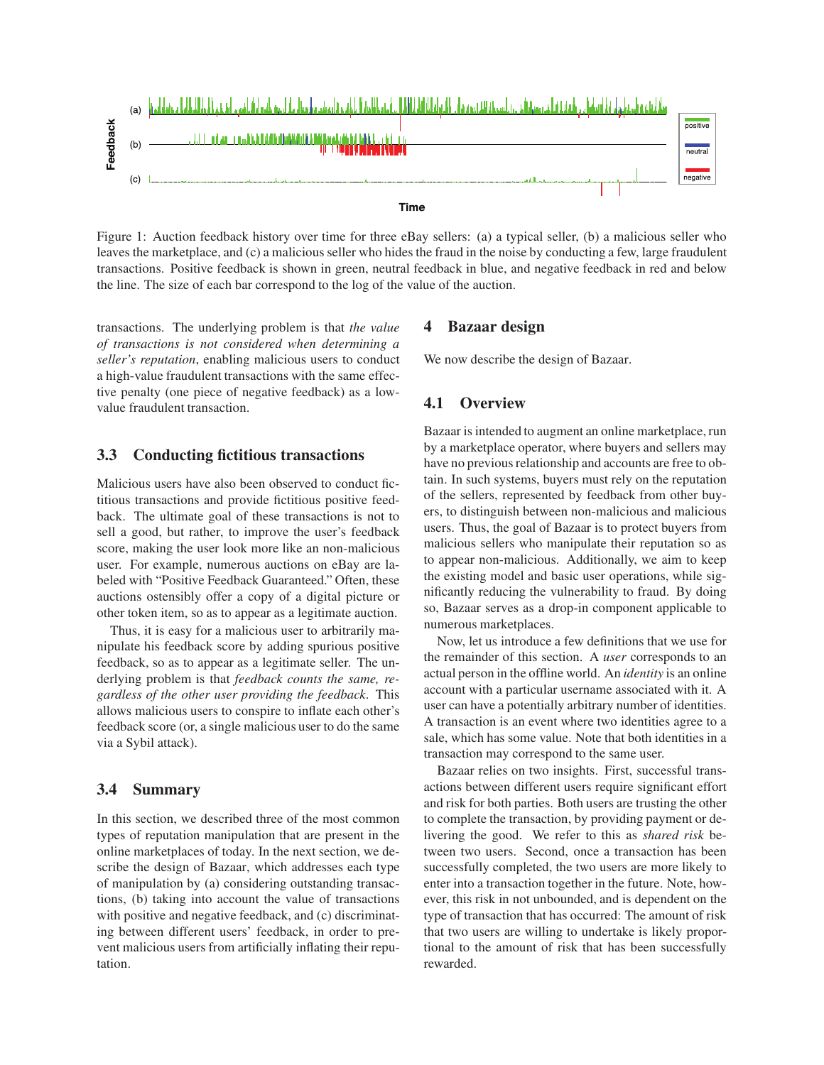

Figure 1: Auction feedback history over time for three eBay sellers: (a) a typical seller, (b) a malicious seller who leaves the marketplace, and (c) a malicious seller who hides the fraud in the noise by conducting a few, large fraudulent transactions. Positive feedback is shown in green, neutral feedback in blue, and negative feedback in red and below the line. The size of each bar correspond to the log of the value of the auction.

transactions. The underlying problem is that *the value of transactions is not considered when determining a seller's reputation*, enabling malicious users to conduct a high-value fraudulent transactions with the same effective penalty (one piece of negative feedback) as a lowvalue fraudulent transaction.

## **3.3 Conducting fictitious transactions**

Malicious users have also been observed to conduct fictitious transactions and provide fictitious positive feedback. The ultimate goal of these transactions is not to sell a good, but rather, to improve the user's feedback score, making the user look more like an non-malicious user. For example, numerous auctions on eBay are labeled with "Positive Feedback Guaranteed." Often, these auctions ostensibly offer a copy of a digital picture or other token item, so as to appear as a legitimate auction.

Thus, it is easy for a malicious user to arbitrarily manipulate his feedback score by adding spurious positive feedback, so as to appear as a legitimate seller. The underlying problem is that *feedback counts the same, regardless of the other user providing the feedback*. This allows malicious users to conspire to inflate each other's feedback score (or, a single malicious user to do the same via a Sybil attack).

## **3.4 Summary**

In this section, we described three of the most common types of reputation manipulation that are present in the online marketplaces of today. In the next section, we describe the design of Bazaar, which addresses each type of manipulation by (a) considering outstanding transactions, (b) taking into account the value of transactions with positive and negative feedback, and (c) discriminating between different users' feedback, in order to prevent malicious users from artificially inflating their reputation.

### **4 Bazaar design**

We now describe the design of Bazaar.

#### **4.1 Overview**

Bazaar is intended to augment an online marketplace, run by a marketplace operator, where buyers and sellers may have no previous relationship and accounts are free to obtain. In such systems, buyers must rely on the reputation of the sellers, represented by feedback from other buyers, to distinguish between non-malicious and malicious users. Thus, the goal of Bazaar is to protect buyers from malicious sellers who manipulate their reputation so as to appear non-malicious. Additionally, we aim to keep the existing model and basic user operations, while significantly reducing the vulnerability to fraud. By doing so, Bazaar serves as a drop-in component applicable to numerous marketplaces.

Now, let us introduce a few definitions that we use for the remainder of this section. A *user* corresponds to an actual person in the offline world. An *identity* is an online account with a particular username associated with it. A user can have a potentially arbitrary number of identities. A transaction is an event where two identities agree to a sale, which has some value. Note that both identities in a transaction may correspond to the same user.

Bazaar relies on two insights. First, successful transactions between different users require significant effort and risk for both parties. Both users are trusting the other to complete the transaction, by providing payment or delivering the good. We refer to this as *shared risk* between two users. Second, once a transaction has been successfully completed, the two users are more likely to enter into a transaction together in the future. Note, however, this risk in not unbounded, and is dependent on the type of transaction that has occurred: The amount of risk that two users are willing to undertake is likely proportional to the amount of risk that has been successfully rewarded.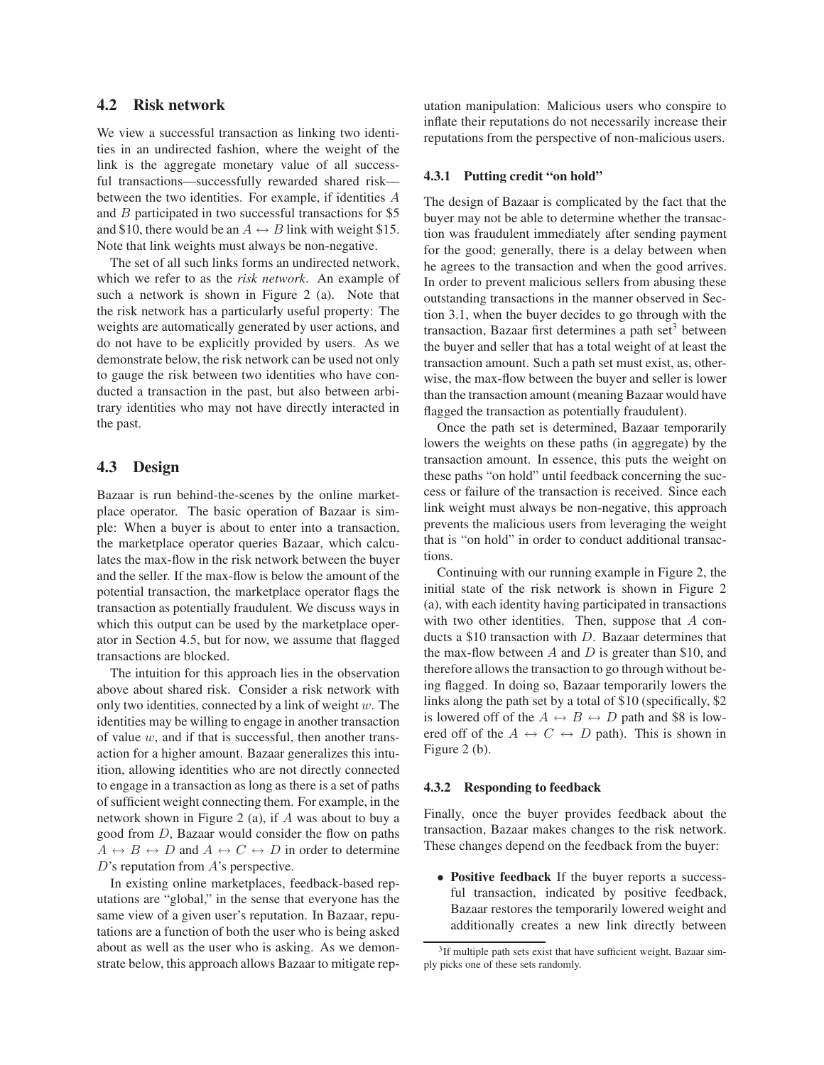## **4.2 Risk network**

We view a successful transaction as linking two identities in an undirected fashion, where the weight of the link is the aggregate monetary value of all successful transactions—successfully rewarded shared risk between the two identities. For example, if identities A and B participated in two successful transactions for \$5 and \$10, there would be an  $A \leftrightarrow B$  link with weight \$15. Note that link weights must always be non-negative.

The set of all such links forms an undirected network, which we refer to as the *risk network*. An example of such a network is shown in Figure 2 (a). Note that the risk network has a particularly useful property: The weights are automatically generated by user actions, and do not have to be explicitly provided by users. As we demonstrate below, the risk network can be used not only to gauge the risk between two identities who have conducted a transaction in the past, but also between arbitrary identities who may not have directly interacted in the past.

## **4.3 Design**

Bazaar is run behind-the-scenes by the online marketplace operator. The basic operation of Bazaar is simple: When a buyer is about to enter into a transaction, the marketplace operator queries Bazaar, which calculates the max-flow in the risk network between the buyer and the seller. If the max-flow is below the amount of the potential transaction, the marketplace operator flags the transaction as potentially fraudulent. We discuss ways in which this output can be used by the marketplace operator in Section 4.5, but for now, we assume that flagged transactions are blocked.

The intuition for this approach lies in the observation above about shared risk. Consider a risk network with only two identities, connected by a link of weight  $w$ . The identities may be willing to engage in another transaction of value  $w$ , and if that is successful, then another transaction for a higher amount. Bazaar generalizes this intuition, allowing identities who are not directly connected to engage in a transaction as long as there is a set of paths of sufficient weight connecting them. For example, in the network shown in Figure 2 (a), if A was about to buy a good from D, Bazaar would consider the flow on paths  $A \leftrightarrow B \leftrightarrow D$  and  $A \leftrightarrow C \leftrightarrow D$  in order to determine D's reputation from A's perspective.

In existing online marketplaces, feedback-based reputations are "global," in the sense that everyone has the same view of a given user's reputation. In Bazaar, reputations are a function of both the user who is being asked about as well as the user who is asking. As we demonstrate below, this approach allows Bazaar to mitigate reputation manipulation: Malicious users who conspire to inflate their reputations do not necessarily increase their reputations from the perspective of non-malicious users.

#### **4.3.1 Putting credit "on hold"**

The design of Bazaar is complicated by the fact that the buyer may not be able to determine whether the transaction was fraudulent immediately after sending payment for the good; generally, there is a delay between when he agrees to the transaction and when the good arrives. In order to prevent malicious sellers from abusing these outstanding transactions in the manner observed in Section 3.1, when the buyer decides to go through with the transaction, Bazaar first determines a path set $3$  between the buyer and seller that has a total weight of at least the transaction amount. Such a path set must exist, as, otherwise, the max-flow between the buyer and seller is lower than the transaction amount (meaning Bazaar would have flagged the transaction as potentially fraudulent).

Once the path set is determined, Bazaar temporarily lowers the weights on these paths (in aggregate) by the transaction amount. In essence, this puts the weight on these paths "on hold" until feedback concerning the success or failure of the transaction is received. Since each link weight must always be non-negative, this approach prevents the malicious users from leveraging the weight that is "on hold" in order to conduct additional transactions.

Continuing with our running example in Figure 2, the initial state of the risk network is shown in Figure 2 (a), with each identity having participated in transactions with two other identities. Then, suppose that A conducts a \$10 transaction with D. Bazaar determines that the max-flow between A and D is greater than \$10, and therefore allows the transaction to go through without being flagged. In doing so, Bazaar temporarily lowers the links along the path set by a total of \$10 (specifically, \$2 is lowered off of the  $A \leftrightarrow B \leftrightarrow D$  path and \$8 is lowered off of the  $A \leftrightarrow C \leftrightarrow D$  path). This is shown in Figure 2 (b).

#### **4.3.2 Responding to feedback**

Finally, once the buyer provides feedback about the transaction, Bazaar makes changes to the risk network. These changes depend on the feedback from the buyer:

• **Positive feedback** If the buyer reports a successful transaction, indicated by positive feedback, Bazaar restores the temporarily lowered weight and additionally creates a new link directly between

<sup>&</sup>lt;sup>3</sup>If multiple path sets exist that have sufficient weight, Bazaar simply picks one of these sets randomly.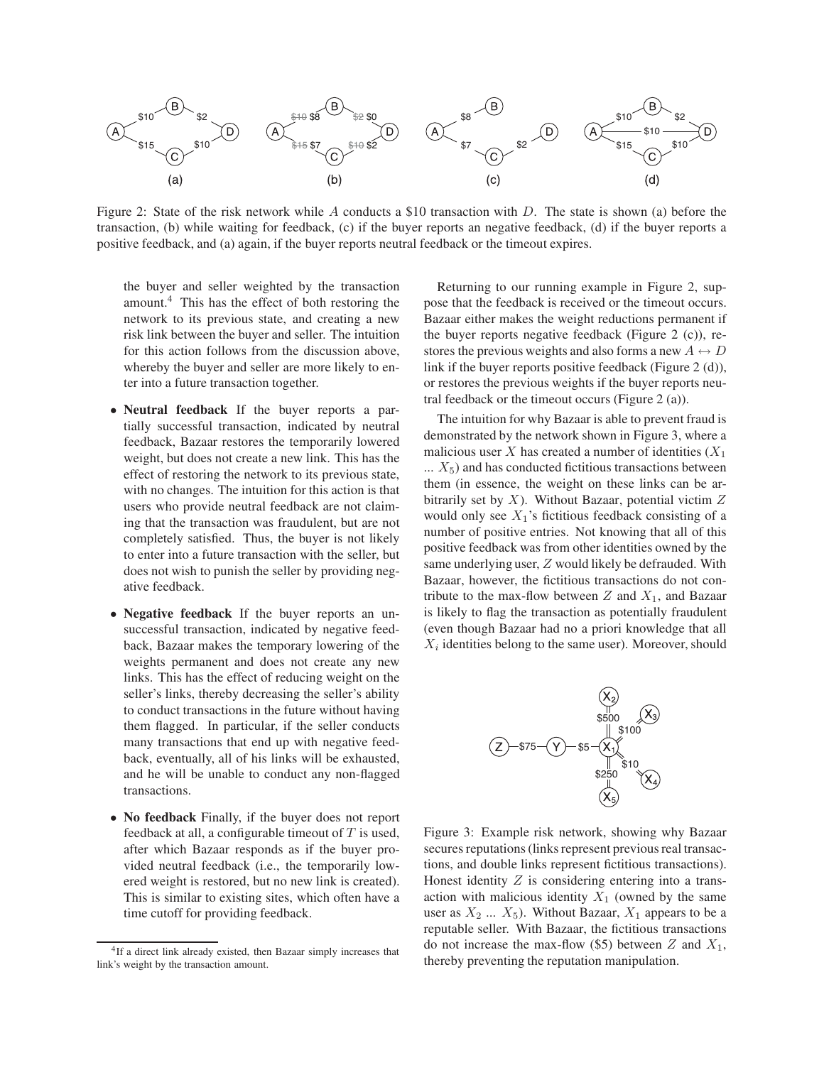

Figure 2: State of the risk network while A conducts a \$10 transaction with D. The state is shown (a) before the transaction, (b) while waiting for feedback, (c) if the buyer reports an negative feedback, (d) if the buyer reports a positive feedback, and (a) again, if the buyer reports neutral feedback or the timeout expires.

the buyer and seller weighted by the transaction amount.<sup>4</sup> This has the effect of both restoring the network to its previous state, and creating a new risk link between the buyer and seller. The intuition for this action follows from the discussion above, whereby the buyer and seller are more likely to enter into a future transaction together.

- **Neutral feedback** If the buyer reports a partially successful transaction, indicated by neutral feedback, Bazaar restores the temporarily lowered weight, but does not create a new link. This has the effect of restoring the network to its previous state, with no changes. The intuition for this action is that users who provide neutral feedback are not claiming that the transaction was fraudulent, but are not completely satisfied. Thus, the buyer is not likely to enter into a future transaction with the seller, but does not wish to punish the seller by providing negative feedback.
- **Negative feedback** If the buyer reports an unsuccessful transaction, indicated by negative feedback, Bazaar makes the temporary lowering of the weights permanent and does not create any new links. This has the effect of reducing weight on the seller's links, thereby decreasing the seller's ability to conduct transactions in the future without having them flagged. In particular, if the seller conducts many transactions that end up with negative feedback, eventually, all of his links will be exhausted, and he will be unable to conduct any non-flagged transactions.
- **No feedback** Finally, if the buyer does not report feedback at all, a configurable timeout of  $T$  is used, after which Bazaar responds as if the buyer provided neutral feedback (i.e., the temporarily lowered weight is restored, but no new link is created). This is similar to existing sites, which often have a time cutoff for providing feedback.

Returning to our running example in Figure 2, suppose that the feedback is received or the timeout occurs. Bazaar either makes the weight reductions permanent if the buyer reports negative feedback (Figure 2 (c)), restores the previous weights and also forms a new  $A \leftrightarrow D$ link if the buyer reports positive feedback (Figure 2 (d)), or restores the previous weights if the buyer reports neutral feedback or the timeout occurs (Figure 2 (a)).

The intuition for why Bazaar is able to prevent fraud is demonstrated by the network shown in Figure 3, where a malicious user X has created a number of identities  $(X_1)$  $\ldots$   $X_5$ ) and has conducted fictitious transactions between them (in essence, the weight on these links can be arbitrarily set by  $X$ ). Without Bazaar, potential victim  $Z$ would only see  $X_1$ 's fictitious feedback consisting of a number of positive entries. Not knowing that all of this positive feedback was from other identities owned by the same underlying user, Z would likely be defrauded. With Bazaar, however, the fictitious transactions do not contribute to the max-flow between  $Z$  and  $X_1$ , and Bazaar is likely to flag the transaction as potentially fraudulent (even though Bazaar had no a priori knowledge that all  $X_i$  identities belong to the same user). Moreover, should



Figure 3: Example risk network, showing why Bazaar secures reputations (links represent previous real transactions, and double links represent fictitious transactions). Honest identity  $Z$  is considering entering into a transaction with malicious identity  $X_1$  (owned by the same user as  $X_2$  ...  $X_5$ ). Without Bazaar,  $X_1$  appears to be a reputable seller. With Bazaar, the fictitious transactions do not increase the max-flow (\$5) between  $Z$  and  $X_1$ , thereby preventing the reputation manipulation.

<sup>&</sup>lt;sup>4</sup>If a direct link already existed, then Bazaar simply increases that link's weight by the transaction amount.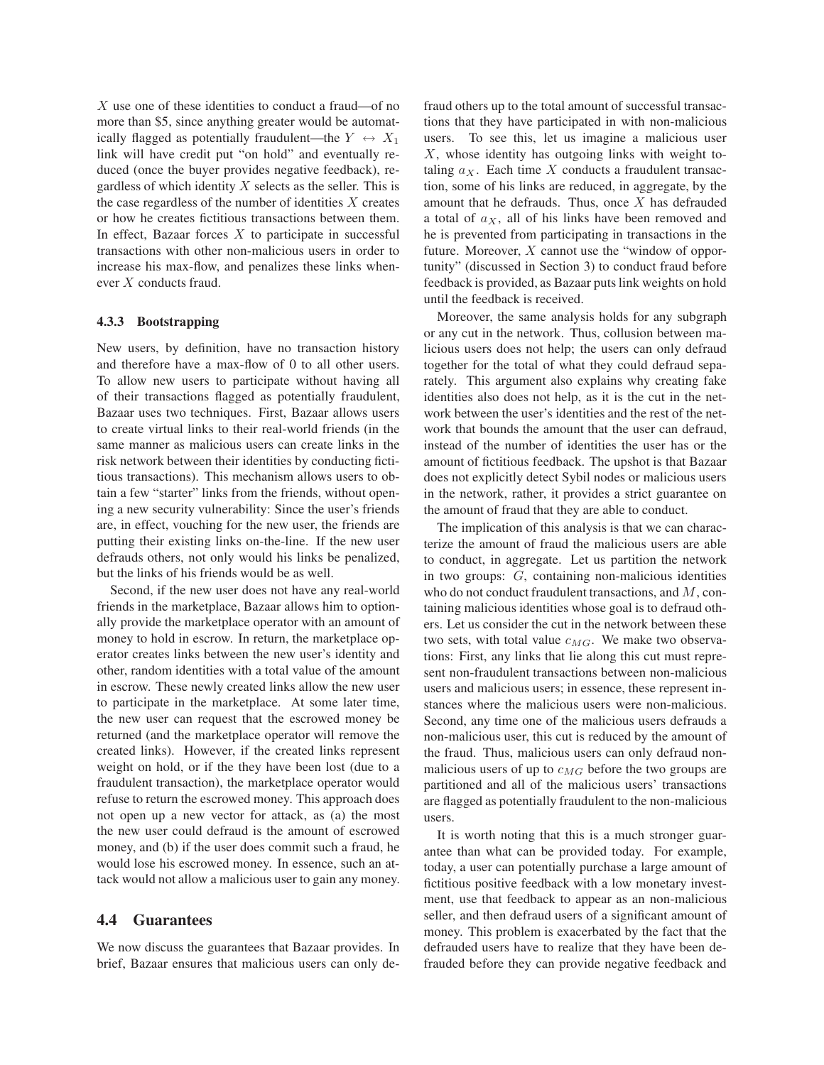X use one of these identities to conduct a fraud—of no more than \$5, since anything greater would be automatically flagged as potentially fraudulent—the  $Y \leftrightarrow X_1$ link will have credit put "on hold" and eventually reduced (once the buyer provides negative feedback), regardless of which identity  $X$  selects as the seller. This is the case regardless of the number of identities  $X$  creates or how he creates fictitious transactions between them. In effect, Bazaar forces  $X$  to participate in successful transactions with other non-malicious users in order to increase his max-flow, and penalizes these links whenever X conducts fraud.

#### **4.3.3 Bootstrapping**

New users, by definition, have no transaction history and therefore have a max-flow of 0 to all other users. To allow new users to participate without having all of their transactions flagged as potentially fraudulent, Bazaar uses two techniques. First, Bazaar allows users to create virtual links to their real-world friends (in the same manner as malicious users can create links in the risk network between their identities by conducting fictitious transactions). This mechanism allows users to obtain a few "starter" links from the friends, without opening a new security vulnerability: Since the user's friends are, in effect, vouching for the new user, the friends are putting their existing links on-the-line. If the new user defrauds others, not only would his links be penalized, but the links of his friends would be as well.

Second, if the new user does not have any real-world friends in the marketplace, Bazaar allows him to optionally provide the marketplace operator with an amount of money to hold in escrow. In return, the marketplace operator creates links between the new user's identity and other, random identities with a total value of the amount in escrow. These newly created links allow the new user to participate in the marketplace. At some later time, the new user can request that the escrowed money be returned (and the marketplace operator will remove the created links). However, if the created links represent weight on hold, or if the they have been lost (due to a fraudulent transaction), the marketplace operator would refuse to return the escrowed money. This approach does not open up a new vector for attack, as (a) the most the new user could defraud is the amount of escrowed money, and (b) if the user does commit such a fraud, he would lose his escrowed money. In essence, such an attack would not allow a malicious user to gain any money.

#### **4.4 Guarantees**

We now discuss the guarantees that Bazaar provides. In brief, Bazaar ensures that malicious users can only defraud others up to the total amount of successful transactions that they have participated in with non-malicious users. To see this, let us imagine a malicious user  $X$ , whose identity has outgoing links with weight totaling  $a_X$ . Each time X conducts a fraudulent transaction, some of his links are reduced, in aggregate, by the amount that he defrauds. Thus, once X has defrauded a total of  $a<sub>X</sub>$ , all of his links have been removed and he is prevented from participating in transactions in the future. Moreover,  $X$  cannot use the "window of opportunity" (discussed in Section 3) to conduct fraud before feedback is provided, as Bazaar puts link weights on hold until the feedback is received.

Moreover, the same analysis holds for any subgraph or any cut in the network. Thus, collusion between malicious users does not help; the users can only defraud together for the total of what they could defraud separately. This argument also explains why creating fake identities also does not help, as it is the cut in the network between the user's identities and the rest of the network that bounds the amount that the user can defraud, instead of the number of identities the user has or the amount of fictitious feedback. The upshot is that Bazaar does not explicitly detect Sybil nodes or malicious users in the network, rather, it provides a strict guarantee on the amount of fraud that they are able to conduct.

The implication of this analysis is that we can characterize the amount of fraud the malicious users are able to conduct, in aggregate. Let us partition the network in two groups: G, containing non-malicious identities who do not conduct fraudulent transactions, and M, containing malicious identities whose goal is to defraud others. Let us consider the cut in the network between these two sets, with total value  $c_{MG}$ . We make two observations: First, any links that lie along this cut must represent non-fraudulent transactions between non-malicious users and malicious users; in essence, these represent instances where the malicious users were non-malicious. Second, any time one of the malicious users defrauds a non-malicious user, this cut is reduced by the amount of the fraud. Thus, malicious users can only defraud nonmalicious users of up to  $c_{MG}$  before the two groups are partitioned and all of the malicious users' transactions are flagged as potentially fraudulent to the non-malicious users.

It is worth noting that this is a much stronger guarantee than what can be provided today. For example, today, a user can potentially purchase a large amount of fictitious positive feedback with a low monetary investment, use that feedback to appear as an non-malicious seller, and then defraud users of a significant amount of money. This problem is exacerbated by the fact that the defrauded users have to realize that they have been defrauded before they can provide negative feedback and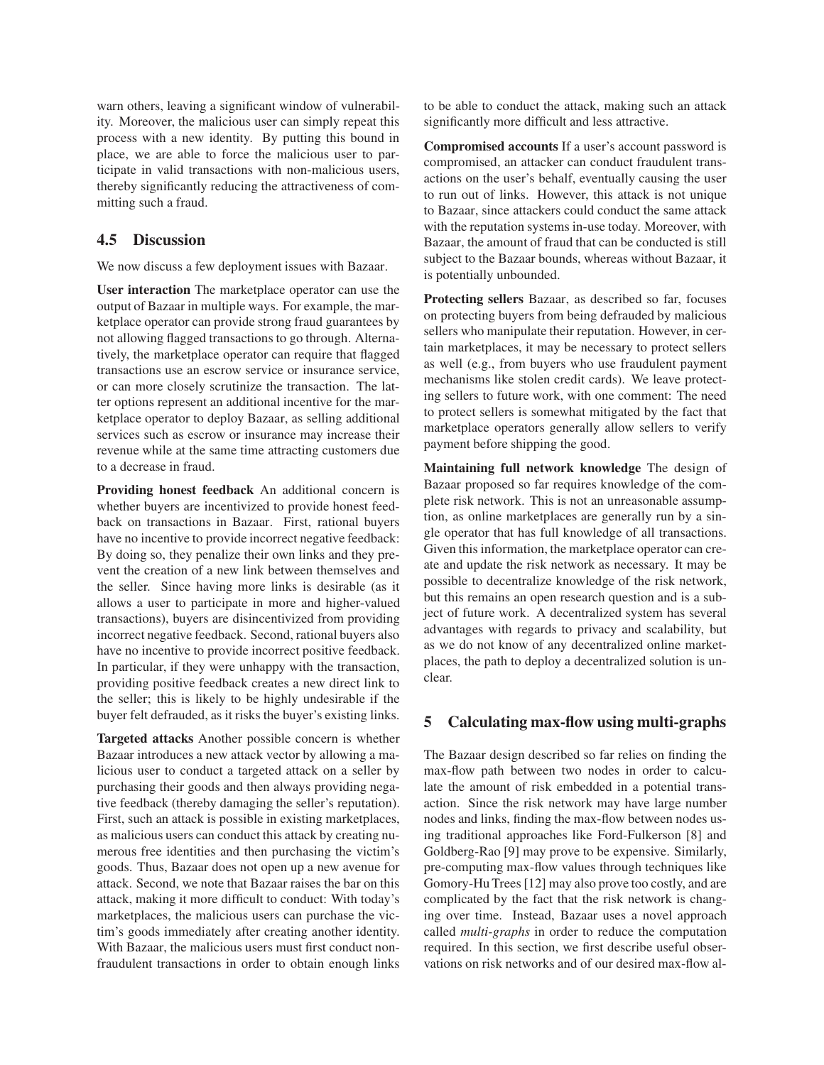warn others, leaving a significant window of vulnerability. Moreover, the malicious user can simply repeat this process with a new identity. By putting this bound in place, we are able to force the malicious user to participate in valid transactions with non-malicious users, thereby significantly reducing the attractiveness of committing such a fraud.

## **4.5 Discussion**

We now discuss a few deployment issues with Bazaar.

**User interaction** The marketplace operator can use the output of Bazaar in multiple ways. For example, the marketplace operator can provide strong fraud guarantees by not allowing flagged transactions to go through. Alternatively, the marketplace operator can require that flagged transactions use an escrow service or insurance service, or can more closely scrutinize the transaction. The latter options represent an additional incentive for the marketplace operator to deploy Bazaar, as selling additional services such as escrow or insurance may increase their revenue while at the same time attracting customers due to a decrease in fraud.

**Providing honest feedback** An additional concern is whether buyers are incentivized to provide honest feedback on transactions in Bazaar. First, rational buyers have no incentive to provide incorrect negative feedback: By doing so, they penalize their own links and they prevent the creation of a new link between themselves and the seller. Since having more links is desirable (as it allows a user to participate in more and higher-valued transactions), buyers are disincentivized from providing incorrect negative feedback. Second, rational buyers also have no incentive to provide incorrect positive feedback. In particular, if they were unhappy with the transaction, providing positive feedback creates a new direct link to the seller; this is likely to be highly undesirable if the buyer felt defrauded, as it risks the buyer's existing links.

**Targeted attacks** Another possible concern is whether Bazaar introduces a new attack vector by allowing a malicious user to conduct a targeted attack on a seller by purchasing their goods and then always providing negative feedback (thereby damaging the seller's reputation). First, such an attack is possible in existing marketplaces, as malicious users can conduct this attack by creating numerous free identities and then purchasing the victim's goods. Thus, Bazaar does not open up a new avenue for attack. Second, we note that Bazaar raises the bar on this attack, making it more difficult to conduct: With today's marketplaces, the malicious users can purchase the victim's goods immediately after creating another identity. With Bazaar, the malicious users must first conduct nonfraudulent transactions in order to obtain enough links to be able to conduct the attack, making such an attack significantly more difficult and less attractive.

**Compromised accounts** If a user's account password is compromised, an attacker can conduct fraudulent transactions on the user's behalf, eventually causing the user to run out of links. However, this attack is not unique to Bazaar, since attackers could conduct the same attack with the reputation systems in-use today. Moreover, with Bazaar, the amount of fraud that can be conducted is still subject to the Bazaar bounds, whereas without Bazaar, it is potentially unbounded.

**Protecting sellers** Bazaar, as described so far, focuses on protecting buyers from being defrauded by malicious sellers who manipulate their reputation. However, in certain marketplaces, it may be necessary to protect sellers as well (e.g., from buyers who use fraudulent payment mechanisms like stolen credit cards). We leave protecting sellers to future work, with one comment: The need to protect sellers is somewhat mitigated by the fact that marketplace operators generally allow sellers to verify payment before shipping the good.

**Maintaining full network knowledge** The design of Bazaar proposed so far requires knowledge of the complete risk network. This is not an unreasonable assumption, as online marketplaces are generally run by a single operator that has full knowledge of all transactions. Given this information, the marketplace operator can create and update the risk network as necessary. It may be possible to decentralize knowledge of the risk network, but this remains an open research question and is a subject of future work. A decentralized system has several advantages with regards to privacy and scalability, but as we do not know of any decentralized online marketplaces, the path to deploy a decentralized solution is unclear.

## **5 Calculating max-flow using multi-graphs**

The Bazaar design described so far relies on finding the max-flow path between two nodes in order to calculate the amount of risk embedded in a potential transaction. Since the risk network may have large number nodes and links, finding the max-flow between nodes using traditional approaches like Ford-Fulkerson [8] and Goldberg-Rao [9] may prove to be expensive. Similarly, pre-computing max-flow values through techniques like Gomory-Hu Trees [12] may also prove too costly, and are complicated by the fact that the risk network is changing over time. Instead, Bazaar uses a novel approach called *multi-graphs* in order to reduce the computation required. In this section, we first describe useful observations on risk networks and of our desired max-flow al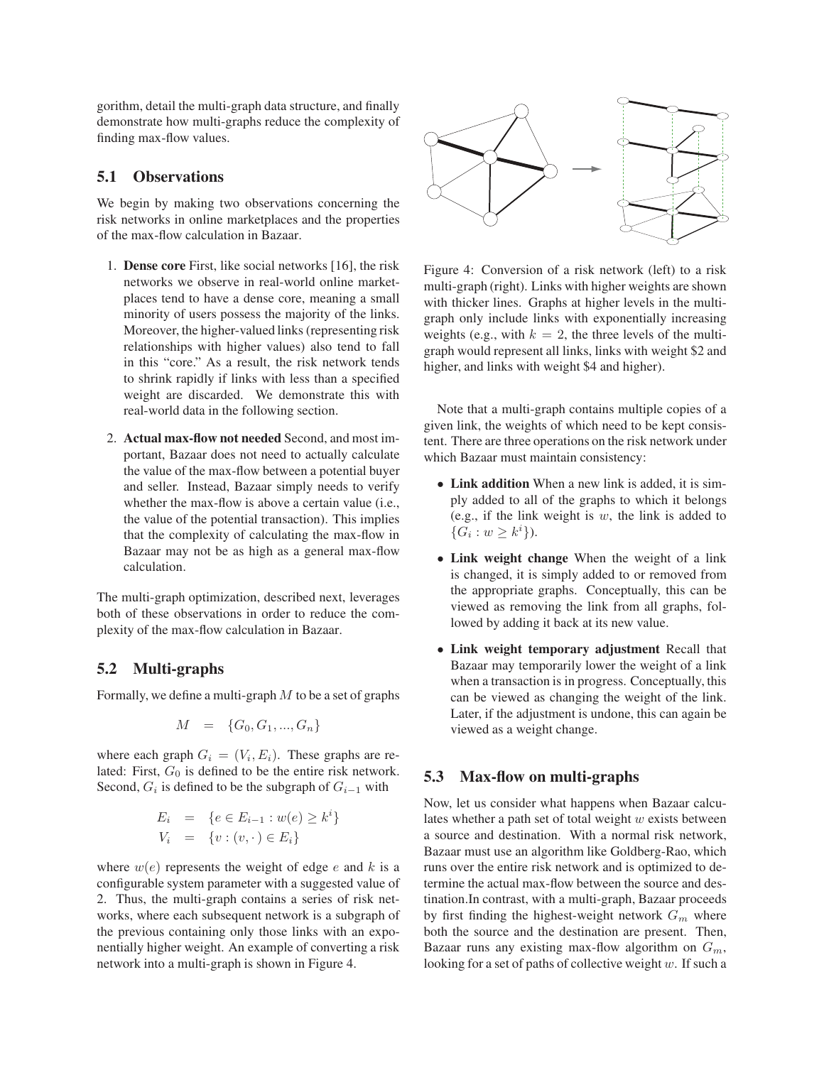gorithm, detail the multi-graph data structure, and finally demonstrate how multi-graphs reduce the complexity of finding max-flow values.

## **5.1 Observations**

We begin by making two observations concerning the risk networks in online marketplaces and the properties of the max-flow calculation in Bazaar.

- 1. **Dense core** First, like social networks [16], the risk networks we observe in real-world online marketplaces tend to have a dense core, meaning a small minority of users possess the majority of the links. Moreover, the higher-valued links (representing risk relationships with higher values) also tend to fall in this "core." As a result, the risk network tends to shrink rapidly if links with less than a specified weight are discarded. We demonstrate this with real-world data in the following section.
- 2. **Actual max-flow not needed** Second, and most important, Bazaar does not need to actually calculate the value of the max-flow between a potential buyer and seller. Instead, Bazaar simply needs to verify whether the max-flow is above a certain value (i.e., the value of the potential transaction). This implies that the complexity of calculating the max-flow in Bazaar may not be as high as a general max-flow calculation.

The multi-graph optimization, described next, leverages both of these observations in order to reduce the complexity of the max-flow calculation in Bazaar.

## **5.2 Multi-graphs**

Formally, we define a multi-graph  $M$  to be a set of graphs

$$
M = \{G_0, G_1, ..., G_n\}
$$

where each graph  $G_i = (V_i, E_i)$ . These graphs are related: First,  $G_0$  is defined to be the entire risk network. Second,  $G_i$  is defined to be the subgraph of  $G_{i-1}$  with

$$
E_i = \{e \in E_{i-1} : w(e) \ge k^i\}
$$
  

$$
V_i = \{v : (v, \cdot) \in E_i\}
$$

where  $w(e)$  represents the weight of edge e and k is a configurable system parameter with a suggested value of 2. Thus, the multi-graph contains a series of risk networks, where each subsequent network is a subgraph of the previous containing only those links with an exponentially higher weight. An example of converting a risk network into a multi-graph is shown in Figure 4.



Figure 4: Conversion of a risk network (left) to a risk multi-graph (right). Links with higher weights are shown with thicker lines. Graphs at higher levels in the multigraph only include links with exponentially increasing weights (e.g., with  $k = 2$ , the three levels of the multigraph would represent all links, links with weight \$2 and higher, and links with weight \$4 and higher).

Note that a multi-graph contains multiple copies of a given link, the weights of which need to be kept consistent. There are three operations on the risk network under which Bazaar must maintain consistency:

- **Link addition** When a new link is added, it is simply added to all of the graphs to which it belongs (e.g., if the link weight is  $w$ , the link is added to  $\{G_i : w \geq k^i\}.$
- **Link weight change** When the weight of a link is changed, it is simply added to or removed from the appropriate graphs. Conceptually, this can be viewed as removing the link from all graphs, followed by adding it back at its new value.
- **Link weight temporary adjustment** Recall that Bazaar may temporarily lower the weight of a link when a transaction is in progress. Conceptually, this can be viewed as changing the weight of the link. Later, if the adjustment is undone, this can again be viewed as a weight change.

### **5.3 Max-flow on multi-graphs**

Now, let us consider what happens when Bazaar calculates whether a path set of total weight  $w$  exists between a source and destination. With a normal risk network, Bazaar must use an algorithm like Goldberg-Rao, which runs over the entire risk network and is optimized to determine the actual max-flow between the source and destination.In contrast, with a multi-graph, Bazaar proceeds by first finding the highest-weight network  $G_m$  where both the source and the destination are present. Then, Bazaar runs any existing max-flow algorithm on  $G_m$ , looking for a set of paths of collective weight  $w$ . If such a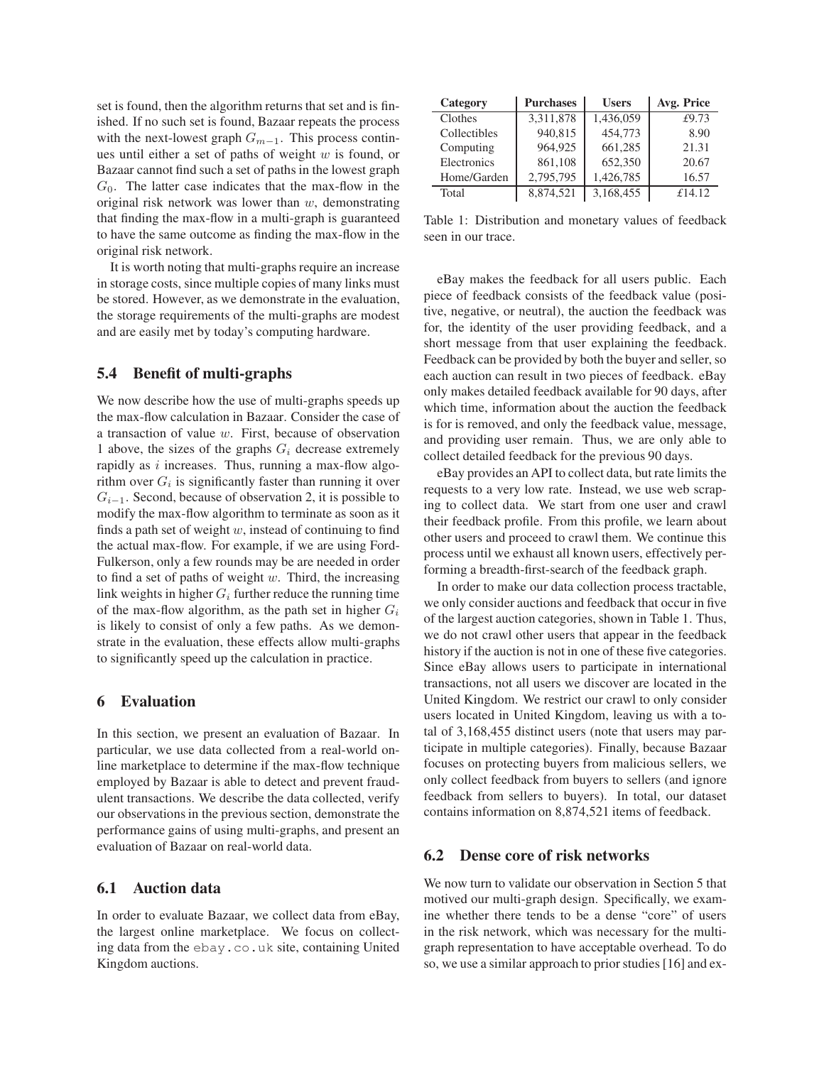set is found, then the algorithm returns that set and is finished. If no such set is found, Bazaar repeats the process with the next-lowest graph  $G_{m-1}$ . This process continues until either a set of paths of weight  $w$  is found, or Bazaar cannot find such a set of paths in the lowest graph  $G<sub>0</sub>$ . The latter case indicates that the max-flow in the original risk network was lower than  $w$ , demonstrating that finding the max-flow in a multi-graph is guaranteed to have the same outcome as finding the max-flow in the original risk network.

It is worth noting that multi-graphs require an increase in storage costs, since multiple copies of many links must be stored. However, as we demonstrate in the evaluation, the storage requirements of the multi-graphs are modest and are easily met by today's computing hardware.

## **5.4 Benefit of multi-graphs**

We now describe how the use of multi-graphs speeds up the max-flow calculation in Bazaar. Consider the case of a transaction of value w. First, because of observation 1 above, the sizes of the graphs  $G_i$  decrease extremely rapidly as  $i$  increases. Thus, running a max-flow algorithm over  $G_i$  is significantly faster than running it over  $G_{i-1}$ . Second, because of observation 2, it is possible to modify the max-flow algorithm to terminate as soon as it finds a path set of weight  $w$ , instead of continuing to find the actual max-flow. For example, if we are using Ford-Fulkerson, only a few rounds may be are needed in order to find a set of paths of weight  $w$ . Third, the increasing link weights in higher  $G_i$  further reduce the running time of the max-flow algorithm, as the path set in higher  $G_i$ is likely to consist of only a few paths. As we demonstrate in the evaluation, these effects allow multi-graphs to significantly speed up the calculation in practice.

## **6 Evaluation**

In this section, we present an evaluation of Bazaar. In particular, we use data collected from a real-world online marketplace to determine if the max-flow technique employed by Bazaar is able to detect and prevent fraudulent transactions. We describe the data collected, verify our observations in the previous section, demonstrate the performance gains of using multi-graphs, and present an evaluation of Bazaar on real-world data.

## **6.1 Auction data**

In order to evaluate Bazaar, we collect data from eBay, the largest online marketplace. We focus on collecting data from the ebay.co.uk site, containing United Kingdom auctions.

| Category     | <b>Purchases</b> | <b>Users</b> | Avg. Price |
|--------------|------------------|--------------|------------|
| Clothes      | 3,311,878        | 1,436,059    | £9.73      |
| Collectibles | 940,815          | 454,773      | 8.90       |
| Computing    | 964,925          | 661,285      | 21.31      |
| Electronics  | 861,108          | 652,350      | 20.67      |
| Home/Garden  | 2,795,795        | 1,426,785    | 16.57      |
| Total        | 8,874,521        | 3,168,455    | £14.12     |

Table 1: Distribution and monetary values of feedback seen in our trace.

eBay makes the feedback for all users public. Each piece of feedback consists of the feedback value (positive, negative, or neutral), the auction the feedback was for, the identity of the user providing feedback, and a short message from that user explaining the feedback. Feedback can be provided by both the buyer and seller, so each auction can result in two pieces of feedback. eBay only makes detailed feedback available for 90 days, after which time, information about the auction the feedback is for is removed, and only the feedback value, message, and providing user remain. Thus, we are only able to collect detailed feedback for the previous 90 days.

eBay provides an API to collect data, but rate limits the requests to a very low rate. Instead, we use web scraping to collect data. We start from one user and crawl their feedback profile. From this profile, we learn about other users and proceed to crawl them. We continue this process until we exhaust all known users, effectively performing a breadth-first-search of the feedback graph.

In order to make our data collection process tractable, we only consider auctions and feedback that occur in five of the largest auction categories, shown in Table 1. Thus, we do not crawl other users that appear in the feedback history if the auction is not in one of these five categories. Since eBay allows users to participate in international transactions, not all users we discover are located in the United Kingdom. We restrict our crawl to only consider users located in United Kingdom, leaving us with a total of 3,168,455 distinct users (note that users may participate in multiple categories). Finally, because Bazaar focuses on protecting buyers from malicious sellers, we only collect feedback from buyers to sellers (and ignore feedback from sellers to buyers). In total, our dataset contains information on 8,874,521 items of feedback.

#### **6.2 Dense core of risk networks**

We now turn to validate our observation in Section 5 that motived our multi-graph design. Specifically, we examine whether there tends to be a dense "core" of users in the risk network, which was necessary for the multigraph representation to have acceptable overhead. To do so, we use a similar approach to prior studies [16] and ex-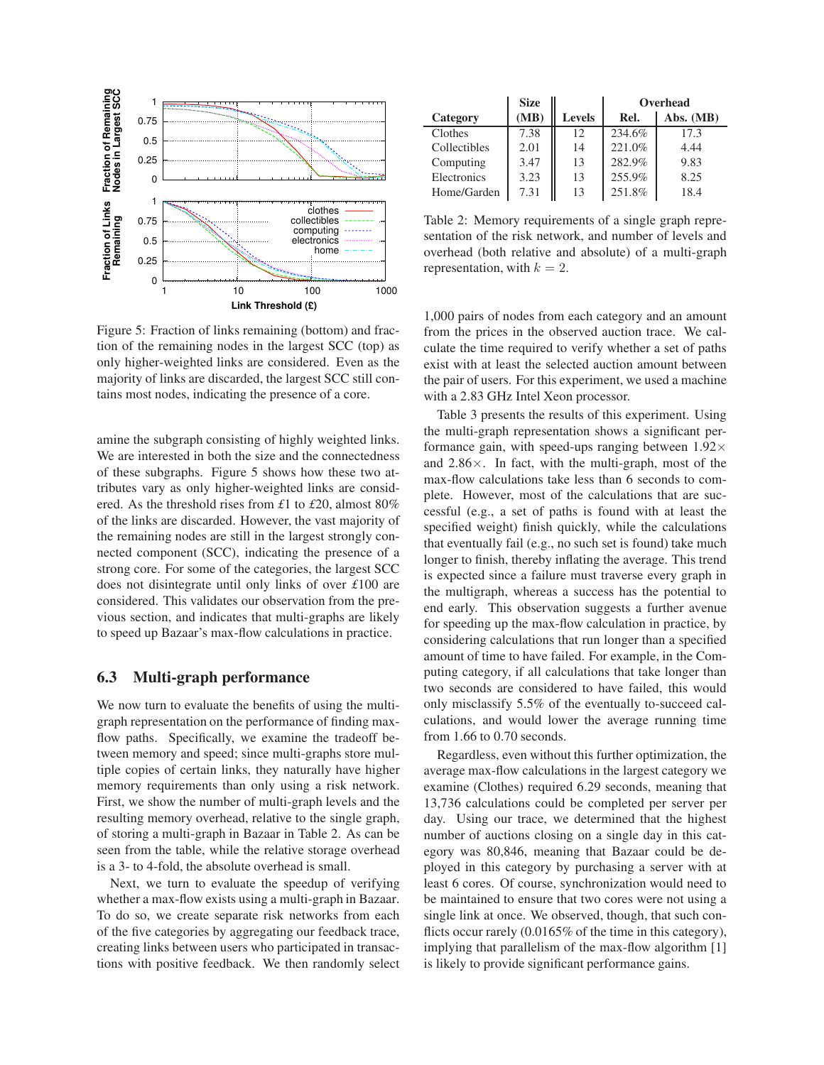

Figure 5: Fraction of links remaining (bottom) and fraction of the remaining nodes in the largest SCC (top) as only higher-weighted links are considered. Even as the majority of links are discarded, the largest SCC still contains most nodes, indicating the presence of a core.

amine the subgraph consisting of highly weighted links. We are interested in both the size and the connectedness of these subgraphs. Figure 5 shows how these two attributes vary as only higher-weighted links are considered. As the threshold rises from *£*1 to *£*20, almost 80% of the links are discarded. However, the vast majority of the remaining nodes are still in the largest strongly connected component (SCC), indicating the presence of a strong core. For some of the categories, the largest SCC does not disintegrate until only links of over *£*100 are considered. This validates our observation from the previous section, and indicates that multi-graphs are likely to speed up Bazaar's max-flow calculations in practice.

## **6.3 Multi-graph performance**

We now turn to evaluate the benefits of using the multigraph representation on the performance of finding maxflow paths. Specifically, we examine the tradeoff between memory and speed; since multi-graphs store multiple copies of certain links, they naturally have higher memory requirements than only using a risk network. First, we show the number of multi-graph levels and the resulting memory overhead, relative to the single graph, of storing a multi-graph in Bazaar in Table 2. As can be seen from the table, while the relative storage overhead is a 3- to 4-fold, the absolute overhead is small.

Next, we turn to evaluate the speedup of verifying whether a max-flow exists using a multi-graph in Bazaar. To do so, we create separate risk networks from each of the five categories by aggregating our feedback trace, creating links between users who participated in transactions with positive feedback. We then randomly select

|              | <b>Size</b> |               | Overhead |           |
|--------------|-------------|---------------|----------|-----------|
| Category     | (MB)        | <b>Levels</b> | Rel.     | Abs. (MB) |
| Clothes      | 7.38        | 12            | 234.6%   | 17.3      |
| Collectibles | 2.01        | 14            | 221.0%   | 4.44      |
| Computing    | 3.47        | 13            | 282.9%   | 9.83      |
| Electronics  | 3.23        | 13            | 255.9%   | 8.25      |
| Home/Garden  | 7.31        | 13            | 251.8%   | 18.4      |

Table 2: Memory requirements of a single graph representation of the risk network, and number of levels and overhead (both relative and absolute) of a multi-graph representation, with  $k = 2$ .

1,000 pairs of nodes from each category and an amount from the prices in the observed auction trace. We calculate the time required to verify whether a set of paths exist with at least the selected auction amount between the pair of users. For this experiment, we used a machine with a 2.83 GHz Intel Xeon processor.

Table 3 presents the results of this experiment. Using the multi-graph representation shows a significant performance gain, with speed-ups ranging between  $1.92\times$ and  $2.86 \times$ . In fact, with the multi-graph, most of the max-flow calculations take less than 6 seconds to complete. However, most of the calculations that are successful (e.g., a set of paths is found with at least the specified weight) finish quickly, while the calculations that eventually fail (e.g., no such set is found) take much longer to finish, thereby inflating the average. This trend is expected since a failure must traverse every graph in the multigraph, whereas a success has the potential to end early. This observation suggests a further avenue for speeding up the max-flow calculation in practice, by considering calculations that run longer than a specified amount of time to have failed. For example, in the Computing category, if all calculations that take longer than two seconds are considered to have failed, this would only misclassify 5.5% of the eventually to-succeed calculations, and would lower the average running time from 1.66 to 0.70 seconds.

Regardless, even without this further optimization, the average max-flow calculations in the largest category we examine (Clothes) required 6.29 seconds, meaning that 13,736 calculations could be completed per server per day. Using our trace, we determined that the highest number of auctions closing on a single day in this category was 80,846, meaning that Bazaar could be deployed in this category by purchasing a server with at least 6 cores. Of course, synchronization would need to be maintained to ensure that two cores were not using a single link at once. We observed, though, that such conflicts occur rarely (0.0165% of the time in this category), implying that parallelism of the max-flow algorithm [1] is likely to provide significant performance gains.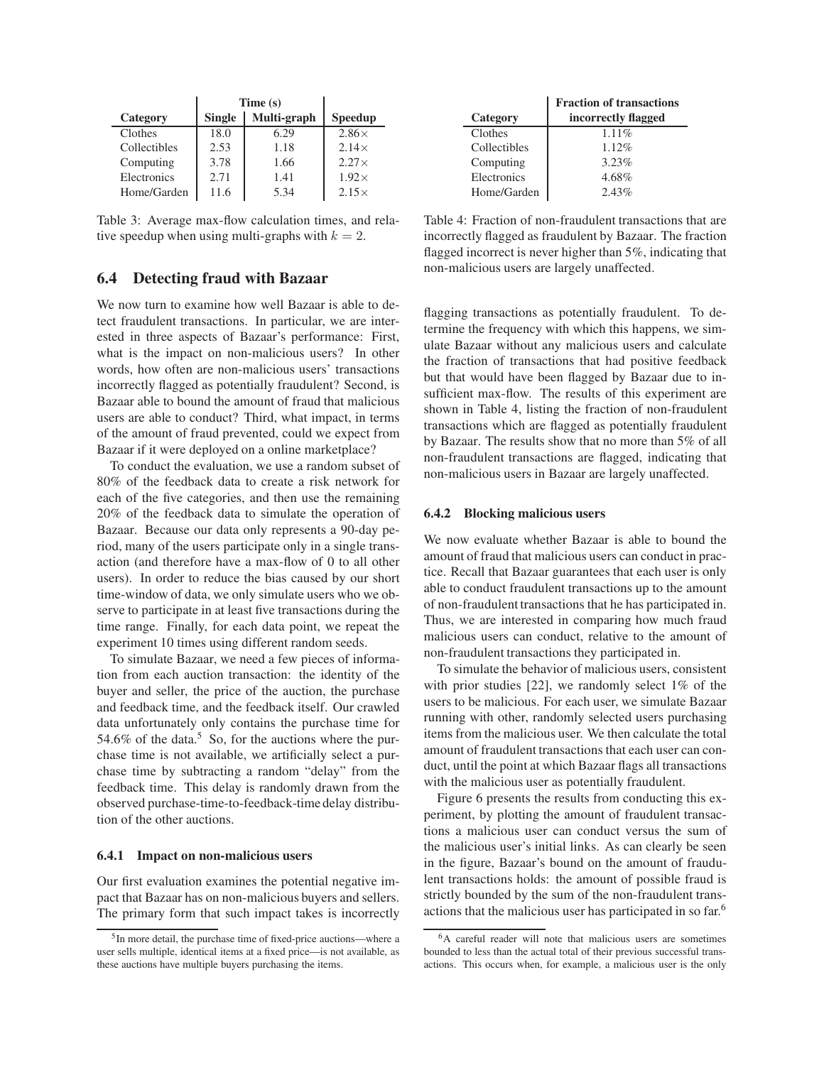|              | Time(s)       |             |                |
|--------------|---------------|-------------|----------------|
| Category     | <b>Single</b> | Multi-graph | <b>Speedup</b> |
| Clothes      | 18.0          | 6.29        | $2.86\times$   |
| Collectibles | 2.53          | 1.18        | $2.14\times$   |
| Computing    | 3.78          | 1.66        | $2.27\times$   |
| Electronics  | 2.71          | 1.41        | $1.92\times$   |
| Home/Garden  | 11.6          | 5.34        | $2.15\times$   |

Table 3: Average max-flow calculation times, and relative speedup when using multi-graphs with  $k = 2$ .

## **6.4 Detecting fraud with Bazaar**

We now turn to examine how well Bazaar is able to detect fraudulent transactions. In particular, we are interested in three aspects of Bazaar's performance: First, what is the impact on non-malicious users? In other words, how often are non-malicious users' transactions incorrectly flagged as potentially fraudulent? Second, is Bazaar able to bound the amount of fraud that malicious users are able to conduct? Third, what impact, in terms of the amount of fraud prevented, could we expect from Bazaar if it were deployed on a online marketplace?

To conduct the evaluation, we use a random subset of 80% of the feedback data to create a risk network for each of the five categories, and then use the remaining 20% of the feedback data to simulate the operation of Bazaar. Because our data only represents a 90-day period, many of the users participate only in a single transaction (and therefore have a max-flow of 0 to all other users). In order to reduce the bias caused by our short time-window of data, we only simulate users who we observe to participate in at least five transactions during the time range. Finally, for each data point, we repeat the experiment 10 times using different random seeds.

To simulate Bazaar, we need a few pieces of information from each auction transaction: the identity of the buyer and seller, the price of the auction, the purchase and feedback time, and the feedback itself. Our crawled data unfortunately only contains the purchase time for 54.6% of the data.<sup>5</sup> So, for the auctions where the purchase time is not available, we artificially select a purchase time by subtracting a random "delay" from the feedback time. This delay is randomly drawn from the observed purchase-time-to-feedback-time delay distribution of the other auctions.

#### **6.4.1 Impact on non-malicious users**

Our first evaluation examines the potential negative impact that Bazaar has on non-malicious buyers and sellers. The primary form that such impact takes is incorrectly

| <b>Fraction of transactions</b> |
|---------------------------------|
| incorrectly flagged             |
| $1.11\%$                        |
| $1.12\%$                        |
| 3.23%                           |
| 4.68%                           |
| 2.43%                           |
|                                 |

Table 4: Fraction of non-fraudulent transactions that are incorrectly flagged as fraudulent by Bazaar. The fraction flagged incorrect is never higher than 5%, indicating that non-malicious users are largely unaffected.

flagging transactions as potentially fraudulent. To determine the frequency with which this happens, we simulate Bazaar without any malicious users and calculate the fraction of transactions that had positive feedback but that would have been flagged by Bazaar due to insufficient max-flow. The results of this experiment are shown in Table 4, listing the fraction of non-fraudulent transactions which are flagged as potentially fraudulent by Bazaar. The results show that no more than 5% of all non-fraudulent transactions are flagged, indicating that non-malicious users in Bazaar are largely unaffected.

#### **6.4.2 Blocking malicious users**

We now evaluate whether Bazaar is able to bound the amount of fraud that malicious users can conduct in practice. Recall that Bazaar guarantees that each user is only able to conduct fraudulent transactions up to the amount of non-fraudulent transactions that he has participated in. Thus, we are interested in comparing how much fraud malicious users can conduct, relative to the amount of non-fraudulent transactions they participated in.

To simulate the behavior of malicious users, consistent with prior studies [22], we randomly select 1% of the users to be malicious. For each user, we simulate Bazaar running with other, randomly selected users purchasing items from the malicious user. We then calculate the total amount of fraudulent transactions that each user can conduct, until the point at which Bazaar flags all transactions with the malicious user as potentially fraudulent.

Figure 6 presents the results from conducting this experiment, by plotting the amount of fraudulent transactions a malicious user can conduct versus the sum of the malicious user's initial links. As can clearly be seen in the figure, Bazaar's bound on the amount of fraudulent transactions holds: the amount of possible fraud is strictly bounded by the sum of the non-fraudulent transactions that the malicious user has participated in so far.<sup>6</sup>

<sup>5</sup> In more detail, the purchase time of fixed-price auctions—where a user sells multiple, identical items at a fixed price—is not available, as these auctions have multiple buyers purchasing the items.

<sup>6</sup>A careful reader will note that malicious users are sometimes bounded to less than the actual total of their previous successful transactions. This occurs when, for example, a malicious user is the only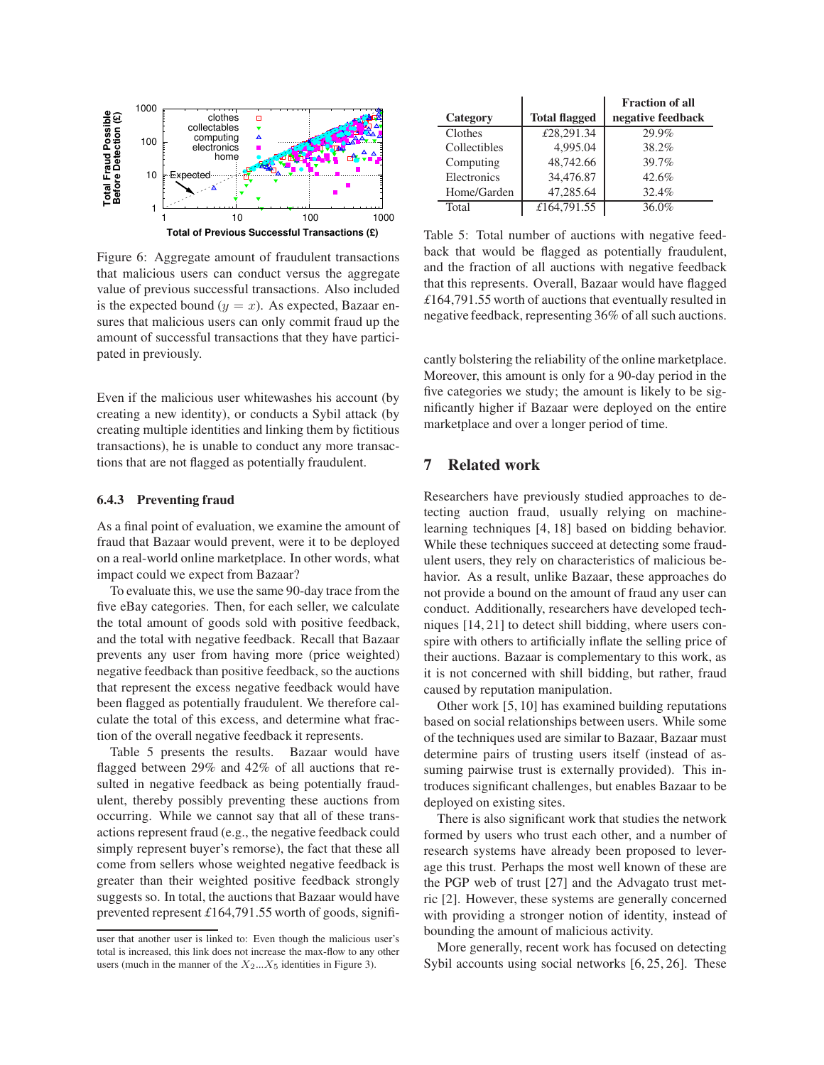

Figure 6: Aggregate amount of fraudulent transactions that malicious users can conduct versus the aggregate value of previous successful transactions. Also included is the expected bound  $(y = x)$ . As expected, Bazaar ensures that malicious users can only commit fraud up the amount of successful transactions that they have participated in previously.

Even if the malicious user whitewashes his account (by creating a new identity), or conducts a Sybil attack (by creating multiple identities and linking them by fictitious transactions), he is unable to conduct any more transactions that are not flagged as potentially fraudulent.

#### **6.4.3 Preventing fraud**

As a final point of evaluation, we examine the amount of fraud that Bazaar would prevent, were it to be deployed on a real-world online marketplace. In other words, what impact could we expect from Bazaar?

To evaluate this, we use the same 90-day trace from the five eBay categories. Then, for each seller, we calculate the total amount of goods sold with positive feedback, and the total with negative feedback. Recall that Bazaar prevents any user from having more (price weighted) negative feedback than positive feedback, so the auctions that represent the excess negative feedback would have been flagged as potentially fraudulent. We therefore calculate the total of this excess, and determine what fraction of the overall negative feedback it represents.

Table 5 presents the results. Bazaar would have flagged between 29% and 42% of all auctions that resulted in negative feedback as being potentially fraudulent, thereby possibly preventing these auctions from occurring. While we cannot say that all of these transactions represent fraud (e.g., the negative feedback could simply represent buyer's remorse), the fact that these all come from sellers whose weighted negative feedback is greater than their weighted positive feedback strongly suggests so. In total, the auctions that Bazaar would have prevented represent *£*164,791.55 worth of goods, signifi-

|              |                      | <b>Fraction of all</b> |
|--------------|----------------------|------------------------|
| Category     | <b>Total flagged</b> | negative feedback      |
| Clothes      | £28,291.34           | 29.9%                  |
| Collectibles | 4,995.04             | 38.2%                  |
| Computing    | 48,742.66            | 39.7%                  |
| Electronics  | 34,476.87            | 42.6%                  |
| Home/Garden  | 47,285.64            | 32.4%                  |
| Total        | £164,791.55          | 36.0%                  |

Table 5: Total number of auctions with negative feedback that would be flagged as potentially fraudulent, and the fraction of all auctions with negative feedback that this represents. Overall, Bazaar would have flagged *£*164,791.55 worth of auctions that eventually resulted in negative feedback, representing 36% of all such auctions.

cantly bolstering the reliability of the online marketplace. Moreover, this amount is only for a 90-day period in the five categories we study; the amount is likely to be significantly higher if Bazaar were deployed on the entire marketplace and over a longer period of time.

## **7 Related work**

Researchers have previously studied approaches to detecting auction fraud, usually relying on machinelearning techniques [4, 18] based on bidding behavior. While these techniques succeed at detecting some fraudulent users, they rely on characteristics of malicious behavior. As a result, unlike Bazaar, these approaches do not provide a bound on the amount of fraud any user can conduct. Additionally, researchers have developed techniques [14, 21] to detect shill bidding, where users conspire with others to artificially inflate the selling price of their auctions. Bazaar is complementary to this work, as it is not concerned with shill bidding, but rather, fraud caused by reputation manipulation.

Other work [5, 10] has examined building reputations based on social relationships between users. While some of the techniques used are similar to Bazaar, Bazaar must determine pairs of trusting users itself (instead of assuming pairwise trust is externally provided). This introduces significant challenges, but enables Bazaar to be deployed on existing sites.

There is also significant work that studies the network formed by users who trust each other, and a number of research systems have already been proposed to leverage this trust. Perhaps the most well known of these are the PGP web of trust [27] and the Advagato trust metric [2]. However, these systems are generally concerned with providing a stronger notion of identity, instead of bounding the amount of malicious activity.

More generally, recent work has focused on detecting Sybil accounts using social networks [6, 25, 26]. These

user that another user is linked to: Even though the malicious user's total is increased, this link does not increase the max-flow to any other users (much in the manner of the  $X_2...X_5$  identities in Figure 3).